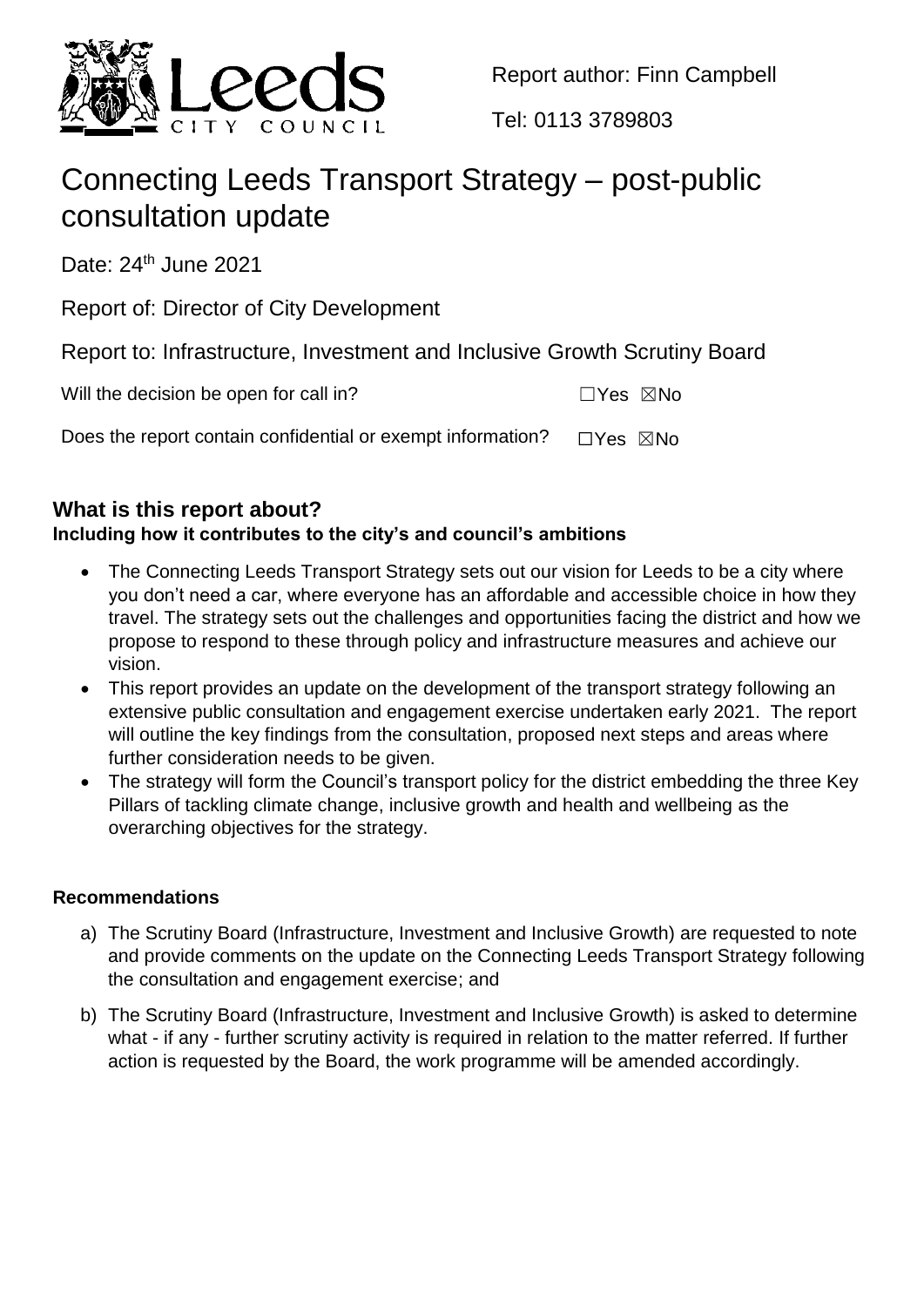

Report author: Finn Campbell

Tel: 0113 3789803

# Connecting Leeds Transport Strategy – post-public consultation update

Date: 24<sup>th</sup> June 2021

Report of: Director of City Development

Report to: Infrastructure, Investment and Inclusive Growth Scrutiny Board

| Will the decision be open for call in? | $\Box$ Yes $\boxtimes$ No |  |
|----------------------------------------|---------------------------|--|
|                                        |                           |  |

Does the report contain confidential or exempt information?  $□Yes \triangle$ No

# **What is this report about?**

# **Including how it contributes to the city's and council's ambitions**

- The Connecting Leeds Transport Strategy sets out our vision for Leeds to be a city where you don't need a car, where everyone has an affordable and accessible choice in how they travel. The strategy sets out the challenges and opportunities facing the district and how we propose to respond to these through policy and infrastructure measures and achieve our vision.
- This report provides an update on the development of the transport strategy following an extensive public consultation and engagement exercise undertaken early 2021. The report will outline the key findings from the consultation, proposed next steps and areas where further consideration needs to be given.
- The strategy will form the Council's transport policy for the district embedding the three Key Pillars of tackling climate change, inclusive growth and health and wellbeing as the overarching objectives for the strategy.

## **Recommendations**

- a) The Scrutiny Board (Infrastructure, Investment and Inclusive Growth) are requested to note and provide comments on the update on the Connecting Leeds Transport Strategy following the consultation and engagement exercise; and
- b) The Scrutiny Board (Infrastructure, Investment and Inclusive Growth) is asked to determine what - if any - further scrutiny activity is required in relation to the matter referred. If further action is requested by the Board, the work programme will be amended accordingly.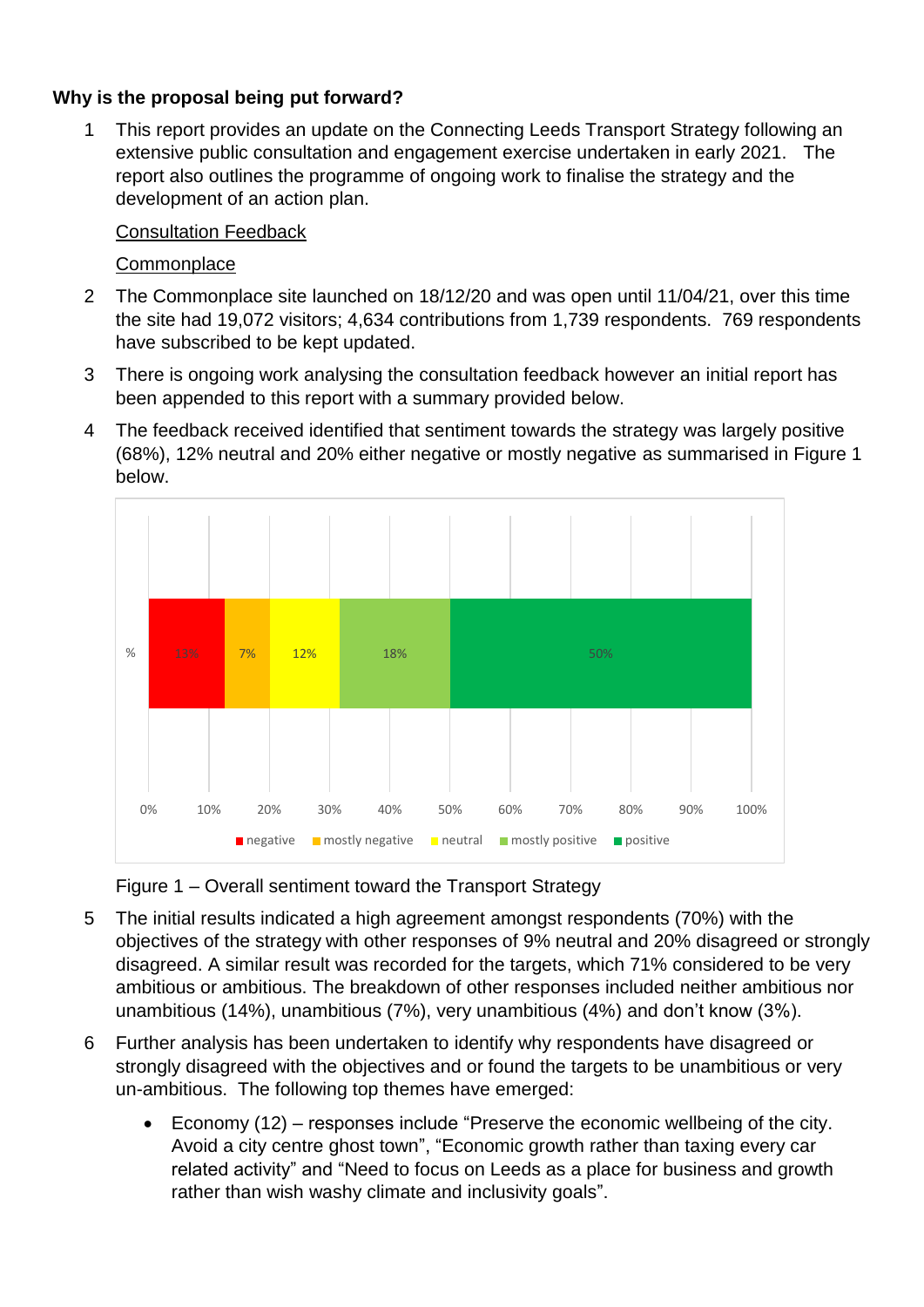## **Why is the proposal being put forward?**

1 This report provides an update on the Connecting Leeds Transport Strategy following an extensive public consultation and engagement exercise undertaken in early 2021. The report also outlines the programme of ongoing work to finalise the strategy and the development of an action plan.

## Consultation Feedback

## **Commonplace**

- 2 The Commonplace site launched on 18/12/20 and was open until 11/04/21, over this time the site had 19,072 visitors; 4,634 contributions from 1,739 respondents. 769 respondents have subscribed to be kept updated.
- 3 There is ongoing work analysing the consultation feedback however an initial report has been appended to this report with a summary provided below.
- 4 The feedback received identified that sentiment towards the strategy was largely positive (68%), 12% neutral and 20% either negative or mostly negative as summarised in Figure 1 below.



Figure 1 – Overall sentiment toward the Transport Strategy

- 5 The initial results indicated a high agreement amongst respondents (70%) with the objectives of the strategy with other responses of 9% neutral and 20% disagreed or strongly disagreed. A similar result was recorded for the targets, which 71% considered to be very ambitious or ambitious. The breakdown of other responses included neither ambitious nor unambitious (14%), unambitious (7%), very unambitious (4%) and don't know (3%).
- 6 Further analysis has been undertaken to identify why respondents have disagreed or strongly disagreed with the objectives and or found the targets to be unambitious or very un-ambitious. The following top themes have emerged:
	- Economy (12) responses include "Preserve the economic wellbeing of the city. Avoid a city centre ghost town", "Economic growth rather than taxing every car related activity" and "Need to focus on Leeds as a place for business and growth rather than wish washy climate and inclusivity goals".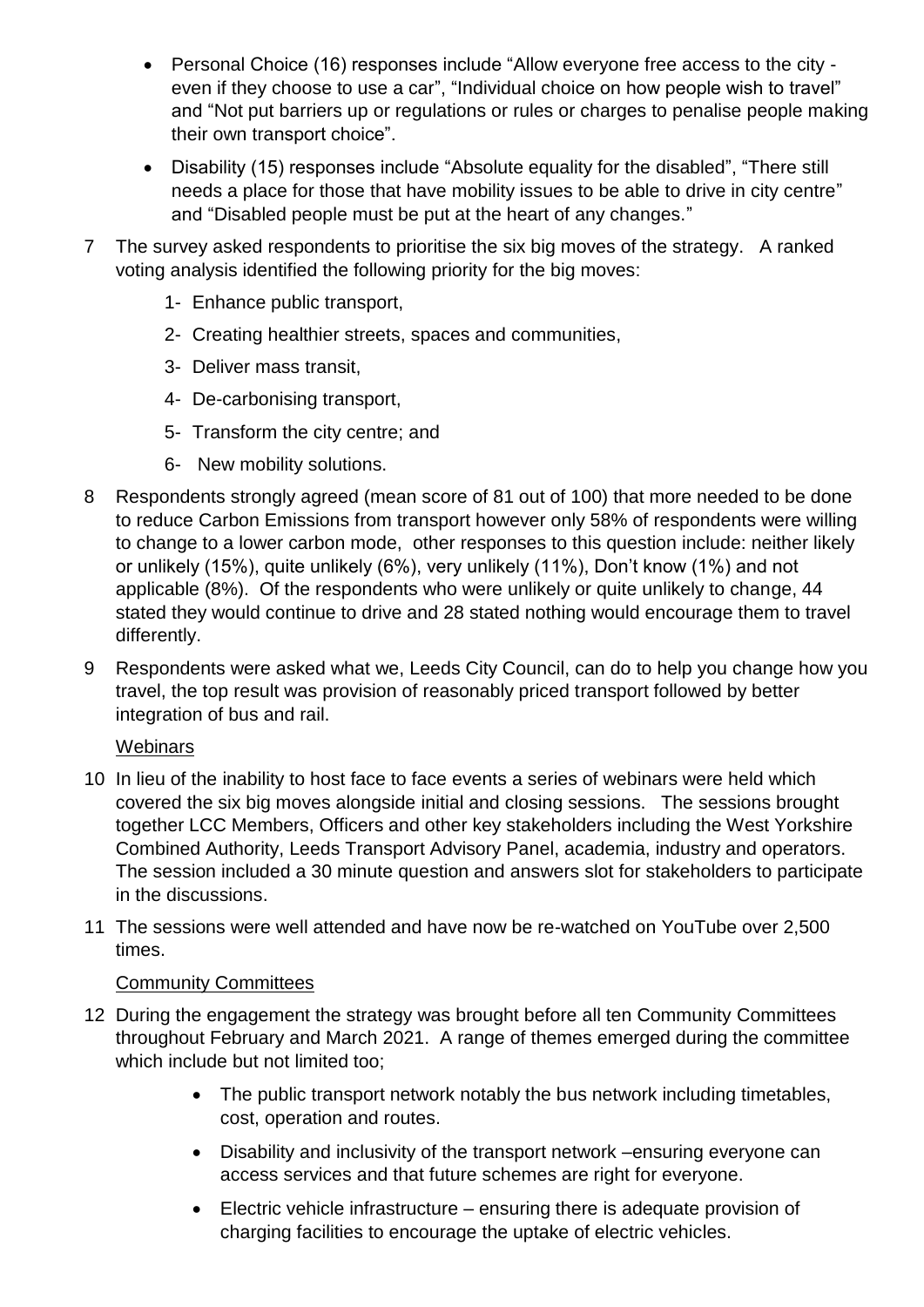- Personal Choice (16) responses include "Allow everyone free access to the city even if they choose to use a car", "Individual choice on how people wish to travel" and "Not put barriers up or regulations or rules or charges to penalise people making their own transport choice".
- Disability (15) responses include "Absolute equality for the disabled", "There still needs a place for those that have mobility issues to be able to drive in city centre" and "Disabled people must be put at the heart of any changes."
- 7 The survey asked respondents to prioritise the six big moves of the strategy. A ranked voting analysis identified the following priority for the big moves:
	- 1- Enhance public transport,
	- 2- Creating healthier streets, spaces and communities,
	- 3- Deliver mass transit,
	- 4- De-carbonising transport,
	- 5- Transform the city centre; and
	- 6- New mobility solutions.
- 8 Respondents strongly agreed (mean score of 81 out of 100) that more needed to be done to reduce Carbon Emissions from transport however only 58% of respondents were willing to change to a lower carbon mode, other responses to this question include: neither likely or unlikely (15%), quite unlikely (6%), very unlikely (11%), Don't know (1%) and not applicable (8%). Of the respondents who were unlikely or quite unlikely to change, 44 stated they would continue to drive and 28 stated nothing would encourage them to travel differently.
- 9 Respondents were asked what we, Leeds City Council, can do to help you change how you travel, the top result was provision of reasonably priced transport followed by better integration of bus and rail.

## **Webinars**

- 10 In lieu of the inability to host face to face events a series of webinars were held which covered the six big moves alongside initial and closing sessions. The sessions brought together LCC Members, Officers and other key stakeholders including the West Yorkshire Combined Authority, Leeds Transport Advisory Panel, academia, industry and operators. The session included a 30 minute question and answers slot for stakeholders to participate in the discussions.
- 11 The sessions were well attended and have now be re-watched on YouTube over 2,500 times.

## Community Committees

- 12 During the engagement the strategy was brought before all ten Community Committees throughout February and March 2021. A range of themes emerged during the committee which include but not limited too:
	- The public transport network notably the bus network including timetables, cost, operation and routes.
	- Disability and inclusivity of the transport network –ensuring everyone can access services and that future schemes are right for everyone.
	- Electric vehicle infrastructure ensuring there is adequate provision of charging facilities to encourage the uptake of electric vehicles.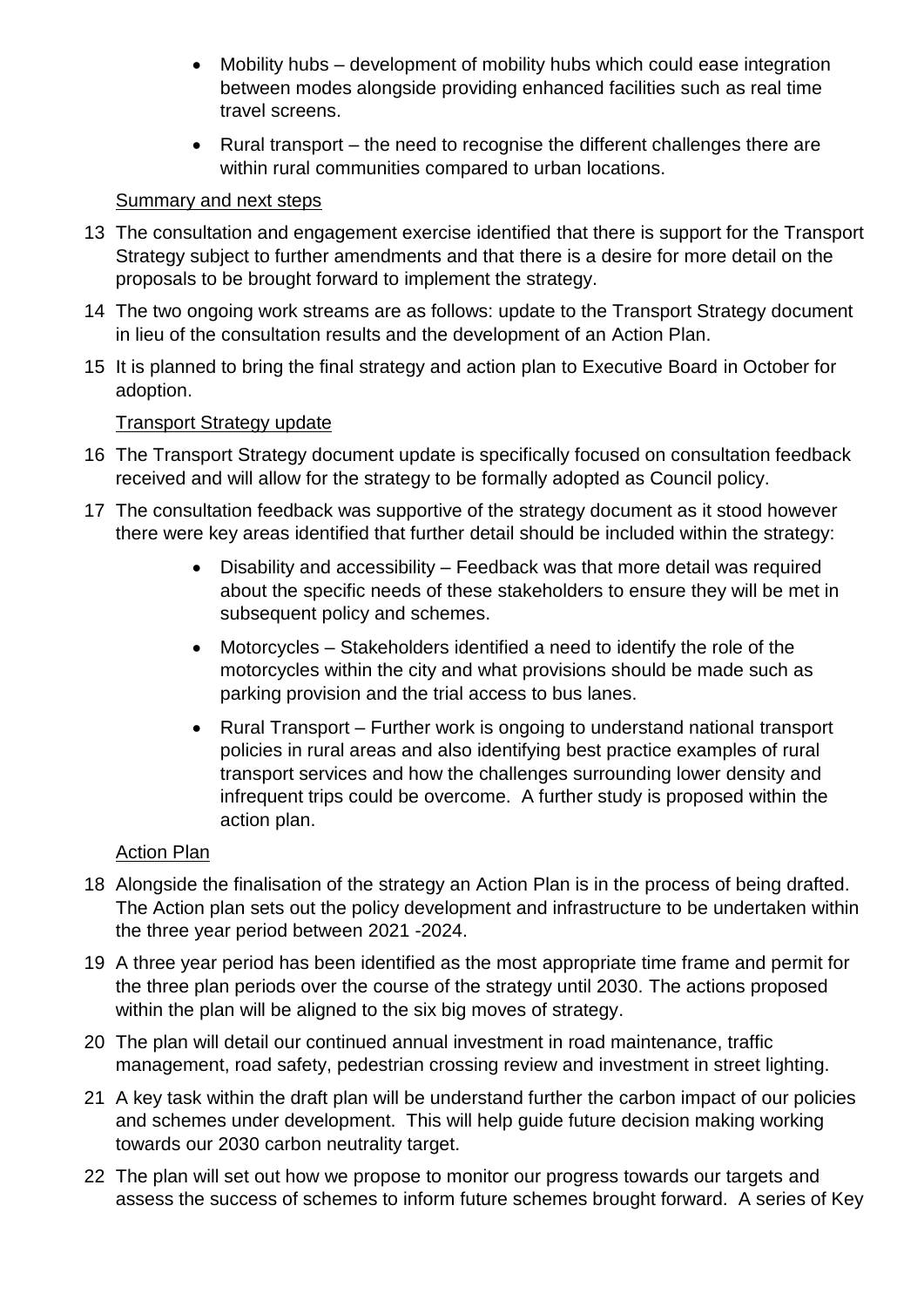- Mobility hubs development of mobility hubs which could ease integration between modes alongside providing enhanced facilities such as real time travel screens.
- Rural transport the need to recognise the different challenges there are within rural communities compared to urban locations.

## Summary and next steps

- 13 The consultation and engagement exercise identified that there is support for the Transport Strategy subject to further amendments and that there is a desire for more detail on the proposals to be brought forward to implement the strategy.
- 14 The two ongoing work streams are as follows: update to the Transport Strategy document in lieu of the consultation results and the development of an Action Plan.
- 15 It is planned to bring the final strategy and action plan to Executive Board in October for adoption.

## Transport Strategy update

- 16 The Transport Strategy document update is specifically focused on consultation feedback received and will allow for the strategy to be formally adopted as Council policy.
- 17 The consultation feedback was supportive of the strategy document as it stood however there were key areas identified that further detail should be included within the strategy:
	- Disability and accessibility Feedback was that more detail was required about the specific needs of these stakeholders to ensure they will be met in subsequent policy and schemes.
	- Motorcycles Stakeholders identified a need to identify the role of the motorcycles within the city and what provisions should be made such as parking provision and the trial access to bus lanes.
	- Rural Transport Further work is ongoing to understand national transport policies in rural areas and also identifying best practice examples of rural transport services and how the challenges surrounding lower density and infrequent trips could be overcome. A further study is proposed within the action plan.

## Action Plan

- 18 Alongside the finalisation of the strategy an Action Plan is in the process of being drafted. The Action plan sets out the policy development and infrastructure to be undertaken within the three year period between 2021 -2024.
- 19 A three year period has been identified as the most appropriate time frame and permit for the three plan periods over the course of the strategy until 2030. The actions proposed within the plan will be aligned to the six big moves of strategy.
- 20 The plan will detail our continued annual investment in road maintenance, traffic management, road safety, pedestrian crossing review and investment in street lighting.
- 21 A key task within the draft plan will be understand further the carbon impact of our policies and schemes under development. This will help guide future decision making working towards our 2030 carbon neutrality target.
- 22 The plan will set out how we propose to monitor our progress towards our targets and assess the success of schemes to inform future schemes brought forward. A series of Key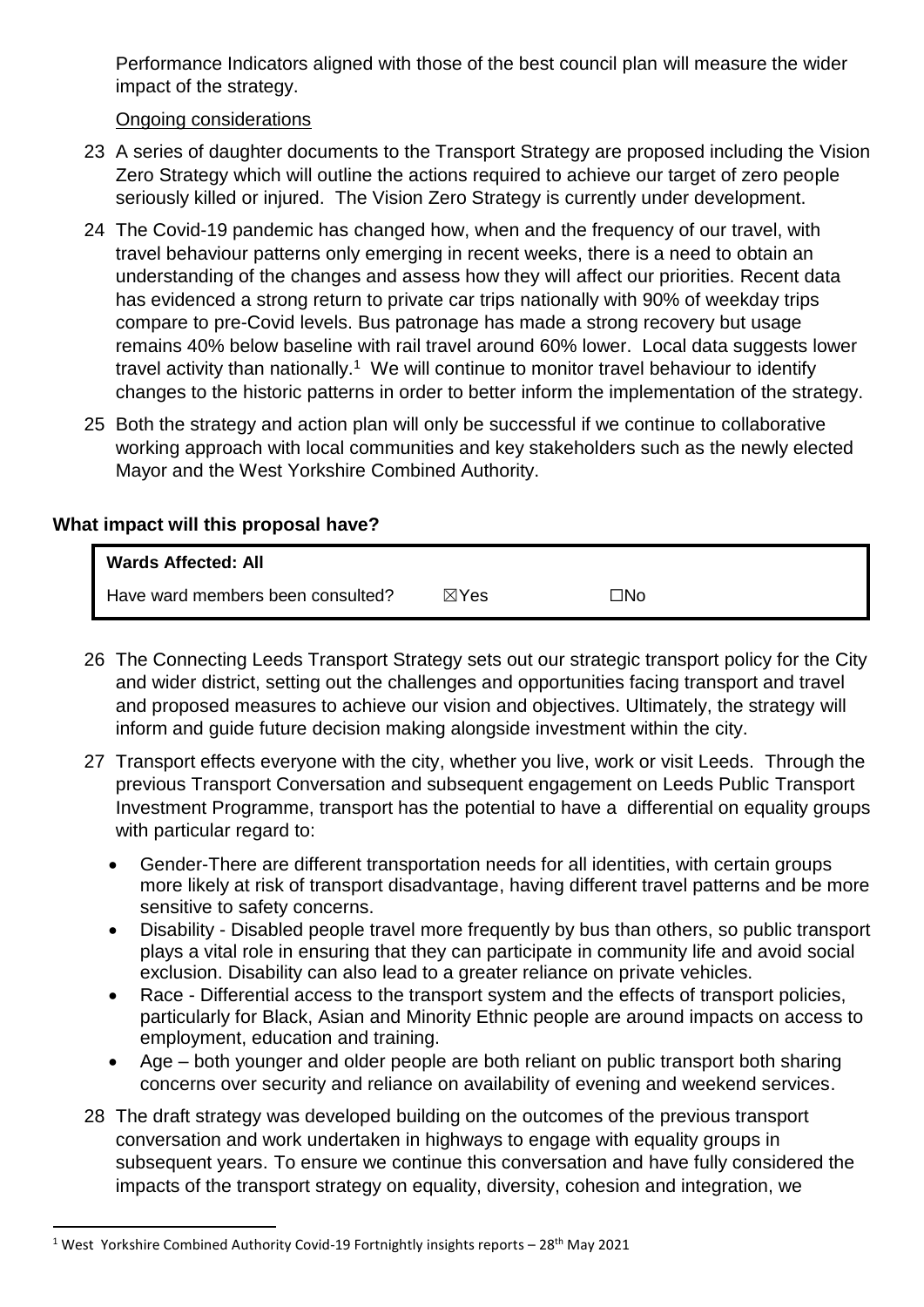Performance Indicators aligned with those of the best council plan will measure the wider impact of the strategy.

Ongoing considerations

- 23 A series of daughter documents to the Transport Strategy are proposed including the Vision Zero Strategy which will outline the actions required to achieve our target of zero people seriously killed or injured. The Vision Zero Strategy is currently under development.
- 24 The Covid-19 pandemic has changed how, when and the frequency of our travel, with travel behaviour patterns only emerging in recent weeks, there is a need to obtain an understanding of the changes and assess how they will affect our priorities. Recent data has evidenced a strong return to private car trips nationally with 90% of weekday trips compare to pre-Covid levels. Bus patronage has made a strong recovery but usage remains 40% below baseline with rail travel around 60% lower. Local data suggests lower travel activity than nationally.<sup>1</sup> We will continue to monitor travel behaviour to identify changes to the historic patterns in order to better inform the implementation of the strategy.
- 25 Both the strategy and action plan will only be successful if we continue to collaborative working approach with local communities and key stakeholders such as the newly elected Mayor and the West Yorkshire Combined Authority.

## **What impact will this proposal have?**

| <b>Wards Affected: All</b>        |                 |     |
|-----------------------------------|-----------------|-----|
| Have ward members been consulted? | $\boxtimes$ Yes | ⊐No |

- 26 The Connecting Leeds Transport Strategy sets out our strategic transport policy for the City and wider district, setting out the challenges and opportunities facing transport and travel and proposed measures to achieve our vision and objectives. Ultimately, the strategy will inform and guide future decision making alongside investment within the city.
- 27 Transport effects everyone with the city, whether you live, work or visit Leeds. Through the previous Transport Conversation and subsequent engagement on Leeds Public Transport Investment Programme, transport has the potential to have a differential on equality groups with particular regard to:
	- Gender-There are different transportation needs for all identities, with certain groups more likely at risk of transport disadvantage, having different travel patterns and be more sensitive to safety concerns.
	- Disability Disabled people travel more frequently by bus than others, so public transport plays a vital role in ensuring that they can participate in community life and avoid social exclusion. Disability can also lead to a greater reliance on private vehicles.
	- Race Differential access to the transport system and the effects of transport policies, particularly for Black, Asian and Minority Ethnic people are around impacts on access to employment, education and training.
	- Age both younger and older people are both reliant on public transport both sharing concerns over security and reliance on availability of evening and weekend services.
- 28 The draft strategy was developed building on the outcomes of the previous transport conversation and work undertaken in highways to engage with equality groups in subsequent years. To ensure we continue this conversation and have fully considered the impacts of the transport strategy on equality, diversity, cohesion and integration, we

 $\overline{a}$ 

<sup>&</sup>lt;sup>1</sup> West Yorkshire Combined Authority Covid-19 Fortnightly insights reports –  $28<sup>th</sup>$  May 2021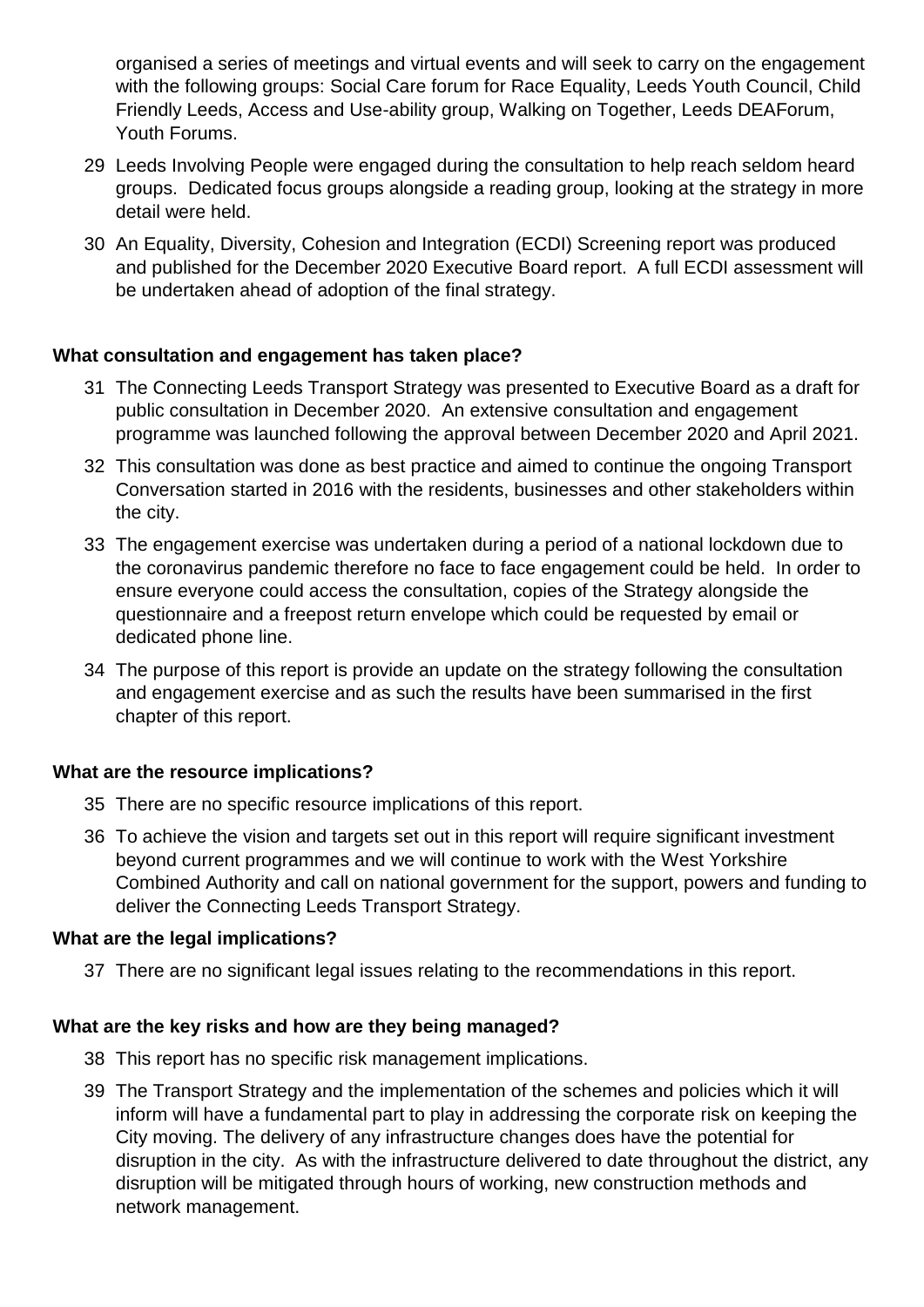organised a series of meetings and virtual events and will seek to carry on the engagement with the following groups: Social Care forum for Race Equality, Leeds Youth Council, Child Friendly Leeds, Access and Use-ability group, Walking on Together, Leeds DEAForum, Youth Forums.

- 29 Leeds Involving People were engaged during the consultation to help reach seldom heard groups. Dedicated focus groups alongside a reading group, looking at the strategy in more detail were held.
- 30 An Equality, Diversity, Cohesion and Integration (ECDI) Screening report was produced and published for the December 2020 Executive Board report. A full ECDI assessment will be undertaken ahead of adoption of the final strategy.

#### **What consultation and engagement has taken place?**

- 31 The Connecting Leeds Transport Strategy was presented to Executive Board as a draft for public consultation in December 2020. An extensive consultation and engagement programme was launched following the approval between December 2020 and April 2021.
- 32 This consultation was done as best practice and aimed to continue the ongoing Transport Conversation started in 2016 with the residents, businesses and other stakeholders within the city.
- 33 The engagement exercise was undertaken during a period of a national lockdown due to the coronavirus pandemic therefore no face to face engagement could be held. In order to ensure everyone could access the consultation, copies of the Strategy alongside the questionnaire and a freepost return envelope which could be requested by email or dedicated phone line.
- 34 The purpose of this report is provide an update on the strategy following the consultation and engagement exercise and as such the results have been summarised in the first chapter of this report.

#### **What are the resource implications?**

- 35 There are no specific resource implications of this report.
- 36 To achieve the vision and targets set out in this report will require significant investment beyond current programmes and we will continue to work with the West Yorkshire Combined Authority and call on national government for the support, powers and funding to deliver the Connecting Leeds Transport Strategy.

#### **What are the legal implications?**

37 There are no significant legal issues relating to the recommendations in this report.

#### **What are the key risks and how are they being managed?**

- 38 This report has no specific risk management implications.
- 39 The Transport Strategy and the implementation of the schemes and policies which it will inform will have a fundamental part to play in addressing the corporate risk on keeping the City moving. The delivery of any infrastructure changes does have the potential for disruption in the city. As with the infrastructure delivered to date throughout the district, any disruption will be mitigated through hours of working, new construction methods and network management.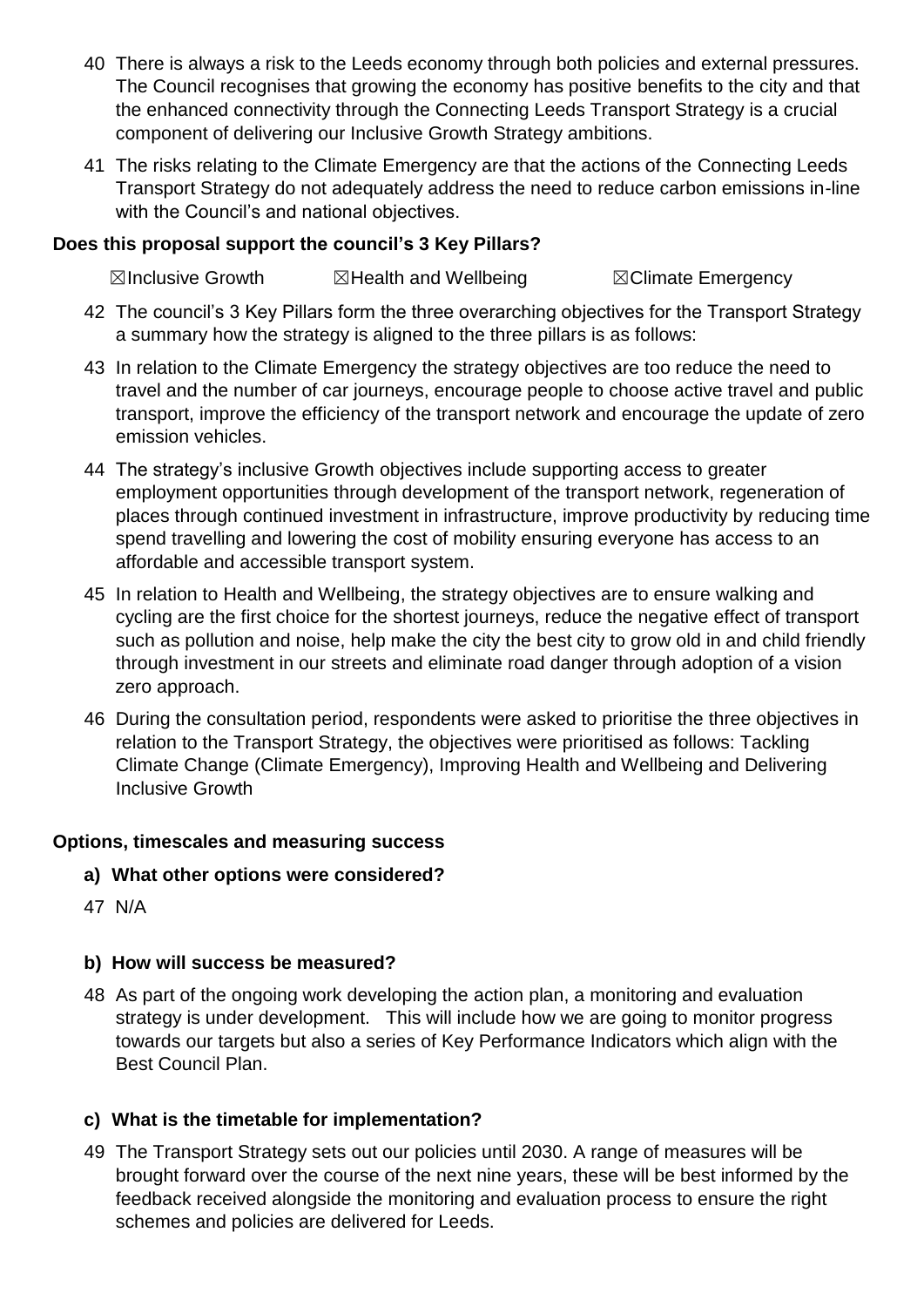- 40 There is always a risk to the Leeds economy through both policies and external pressures. The Council recognises that growing the economy has positive benefits to the city and that the enhanced connectivity through the Connecting Leeds Transport Strategy is a crucial component of delivering our Inclusive Growth Strategy ambitions.
- 41 The risks relating to the Climate Emergency are that the actions of the Connecting Leeds Transport Strategy do not adequately address the need to reduce carbon emissions in-line with the Council's and national objectives.

## **Does this proposal support the council's 3 Key Pillars?**

**⊠Inclusive Growth ■ ⊠Health and Wellbeing ■ ■ ⊠Climate Emergency** 

- 42 The council's 3 Key Pillars form the three overarching objectives for the Transport Strategy a summary how the strategy is aligned to the three pillars is as follows:
- 43 In relation to the Climate Emergency the strategy objectives are too reduce the need to travel and the number of car journeys, encourage people to choose active travel and public transport, improve the efficiency of the transport network and encourage the update of zero emission vehicles.
- 44 The strategy's inclusive Growth objectives include supporting access to greater employment opportunities through development of the transport network, regeneration of places through continued investment in infrastructure, improve productivity by reducing time spend travelling and lowering the cost of mobility ensuring everyone has access to an affordable and accessible transport system.
- 45 In relation to Health and Wellbeing, the strategy objectives are to ensure walking and cycling are the first choice for the shortest journeys, reduce the negative effect of transport such as pollution and noise, help make the city the best city to grow old in and child friendly through investment in our streets and eliminate road danger through adoption of a vision zero approach.
- 46 During the consultation period, respondents were asked to prioritise the three objectives in relation to the Transport Strategy, the objectives were prioritised as follows: Tackling Climate Change (Climate Emergency), Improving Health and Wellbeing and Delivering Inclusive Growth

## **Options, timescales and measuring success**

- **a) What other options were considered?**
- 47 N/A

## **b) How will success be measured?**

48 As part of the ongoing work developing the action plan, a monitoring and evaluation strategy is under development. This will include how we are going to monitor progress towards our targets but also a series of Key Performance Indicators which align with the Best Council Plan.

## **c) What is the timetable for implementation?**

49 The Transport Strategy sets out our policies until 2030. A range of measures will be brought forward over the course of the next nine years, these will be best informed by the feedback received alongside the monitoring and evaluation process to ensure the right schemes and policies are delivered for Leeds.